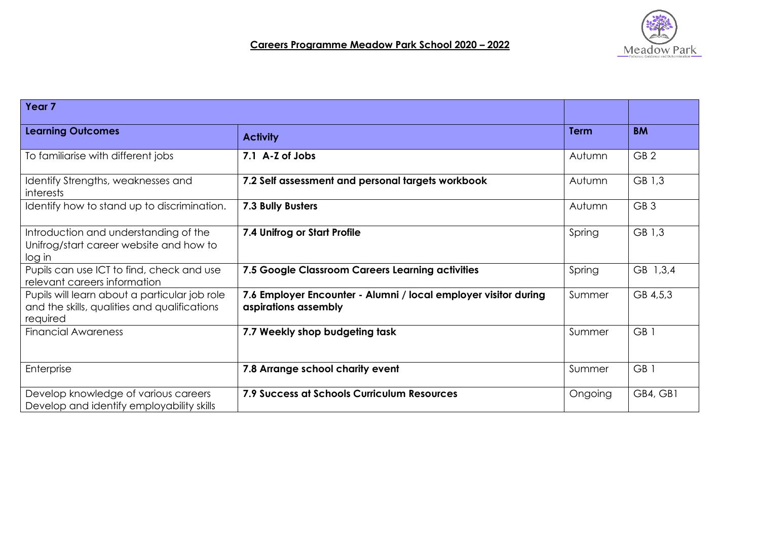

## **Careers Programme Meadow Park School 2020 – 2022**

| Year 7                                                                                                    |                                                                                         |             |                 |
|-----------------------------------------------------------------------------------------------------------|-----------------------------------------------------------------------------------------|-------------|-----------------|
| <b>Learning Outcomes</b>                                                                                  | <b>Activity</b>                                                                         | <b>Term</b> | <b>BM</b>       |
| To familiarise with different jobs                                                                        | 7.1 A-Z of Jobs                                                                         | Autumn      | GB <sub>2</sub> |
| Identify Strengths, weaknesses and<br>interests                                                           | 7.2 Self assessment and personal targets workbook                                       | Autumn      | GB 1,3          |
| Identify how to stand up to discrimination.                                                               | 7.3 Bully Busters                                                                       | Autumn      | GB <sub>3</sub> |
| Introduction and understanding of the<br>Unifrog/start career website and how to<br>log in                | 7.4 Unifrog or Start Profile                                                            | Spring      | GB 1,3          |
| Pupils can use ICT to find, check and use<br>relevant careers information                                 | 7.5 Google Classroom Careers Learning activities                                        | Spring      | GB 1,3,4        |
| Pupils will learn about a particular job role<br>and the skills, qualities and qualifications<br>required | 7.6 Employer Encounter - Alumni / local employer visitor during<br>aspirations assembly | Summer      | GB 4,5,3        |
| <b>Financial Awareness</b>                                                                                | 7.7 Weekly shop budgeting task                                                          | Summer      | GB <sub>1</sub> |
| Enterprise                                                                                                | 7.8 Arrange school charity event                                                        | Summer      | GB <sub>1</sub> |
| Develop knowledge of various careers<br>Develop and identify employability skills                         | 7.9 Success at Schools Curriculum Resources                                             | Ongoing     | GB4, GB1        |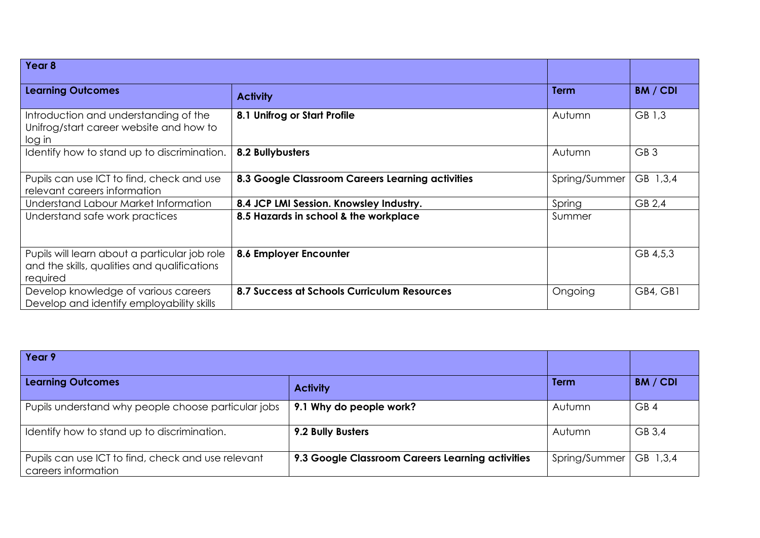| Year 8                                                                                                    |                                                  |               |                 |
|-----------------------------------------------------------------------------------------------------------|--------------------------------------------------|---------------|-----------------|
| <b>Learning Outcomes</b>                                                                                  | <b>Activity</b>                                  | <b>Term</b>   | <b>BM</b> / CDI |
| Introduction and understanding of the<br>Unifrog/start career website and how to<br>log in                | 8.1 Unifrog or Start Profile                     | Autumn        | GB 1,3          |
| Identify how to stand up to discrimination.                                                               | 8.2 Bullybusters                                 | Autumn        | GB <sub>3</sub> |
| Pupils can use ICT to find, check and use<br>relevant careers information                                 | 8.3 Google Classroom Careers Learning activities | Spring/Summer | GB 1,3,4        |
| Understand Labour Market Information                                                                      | 8.4 JCP LMI Session. Knowsley Industry.          | Spring        | GB 2,4          |
| Understand safe work practices                                                                            | 8.5 Hazards in school & the workplace            | Summer        |                 |
| Pupils will learn about a particular job role<br>and the skills, qualities and qualifications<br>required | 8.6 Employer Encounter                           |               | GB 4,5,3        |
| Develop knowledge of various careers<br>Develop and identify employability skills                         | 8.7 Success at Schools Curriculum Resources      | Ongoing       | GB4, GB1        |

| Year 9                                                                    |                                                  |               |                 |
|---------------------------------------------------------------------------|--------------------------------------------------|---------------|-----------------|
| <b>Learning Outcomes</b>                                                  | <b>Activity</b>                                  | <b>Term</b>   | <b>BM / CDI</b> |
| Pupils understand why people choose particular jobs                       | 9.1 Why do people work?                          | Autumn        | GB <sub>4</sub> |
| Identify how to stand up to discrimination.                               | 9.2 Bully Busters                                | Autumn        | GB 3,4          |
| Pupils can use ICT to find, check and use relevant<br>careers information | 9.3 Google Classroom Careers Learning activities | Spring/Summer | GB 1,3,4        |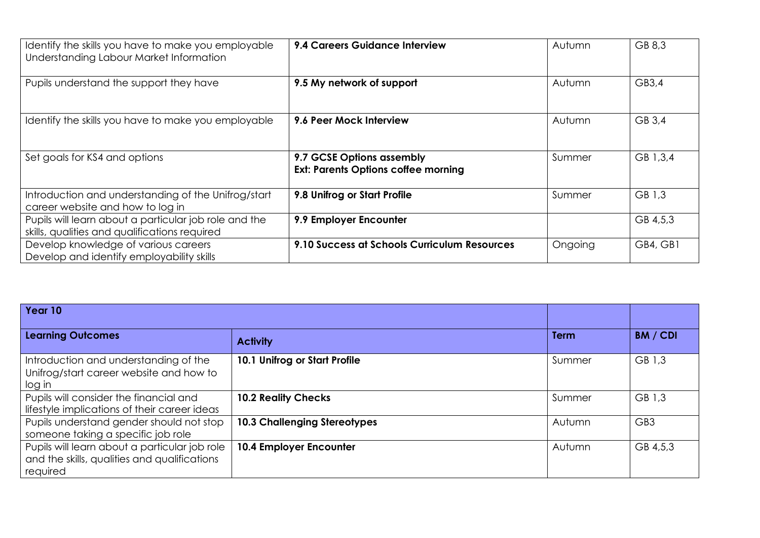| Identify the skills you have to make you employable<br>Understanding Labour Market Information         | 9.4 Careers Guidance Interview                                          | Autumn  | GB 8,3   |
|--------------------------------------------------------------------------------------------------------|-------------------------------------------------------------------------|---------|----------|
| Pupils understand the support they have                                                                | 9.5 My network of support                                               | Autumn  | GB3,4    |
| Identify the skills you have to make you employable                                                    | 9.6 Peer Mock Interview                                                 | Autumn  | GB 3,4   |
| Set goals for KS4 and options                                                                          | 9.7 GCSE Options assembly<br><b>Ext: Parents Options coffee morning</b> | Summer  | GB 1,3,4 |
| Introduction and understanding of the Unifrog/start<br>career website and how to log in                | 9.8 Unifrog or Start Profile                                            | Summer  | GB 1,3   |
| Pupils will learn about a particular job role and the<br>skills, qualities and qualifications required | 9.9 Employer Encounter                                                  |         | GB 4,5,3 |
| Develop knowledge of various careers<br>Develop and identify employability skills                      | 9.10 Success at Schools Curriculum Resources                            | Ongoing | GB4, GB1 |

| Year 10                                                                                                   |                                     |             |                 |
|-----------------------------------------------------------------------------------------------------------|-------------------------------------|-------------|-----------------|
| <b>Learning Outcomes</b>                                                                                  | <b>Activity</b>                     | <b>Term</b> | <b>BM / CDI</b> |
| Introduction and understanding of the<br>Unifrog/start career website and how to<br>log in                | 10.1 Unifrog or Start Profile       | Summer      | GB 1,3          |
| Pupils will consider the financial and<br>lifestyle implications of their career ideas                    | <b>10.2 Reality Checks</b>          | Summer      | GB 1,3          |
| Pupils understand gender should not stop<br>someone taking a specific job role                            | <b>10.3 Challenging Stereotypes</b> | Autumn      | GB <sub>3</sub> |
| Pupils will learn about a particular job role<br>and the skills, qualities and qualifications<br>required | 10.4 Employer Encounter             | Autumn      | GB 4,5,3        |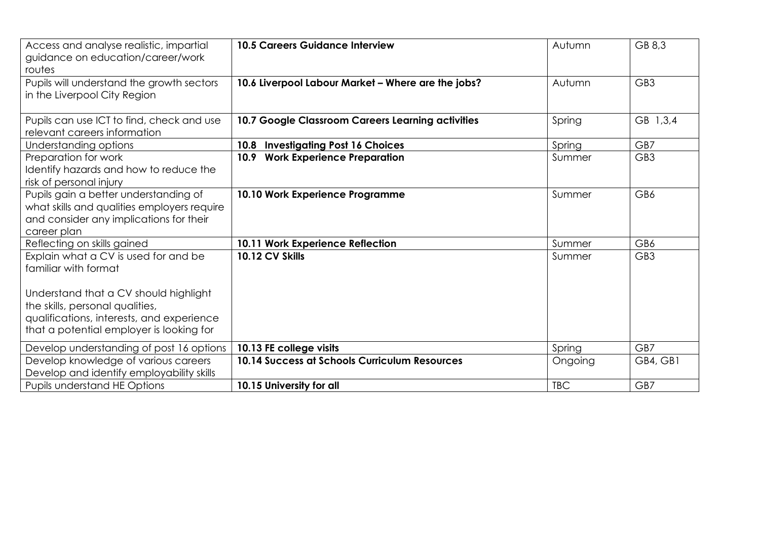| Access and analyse realistic, impartial<br>guidance on education/career/work<br>routes                                                                                                                                            | <b>10.5 Careers Guidance Interview</b>             | Autumn     | GB 8,3          |
|-----------------------------------------------------------------------------------------------------------------------------------------------------------------------------------------------------------------------------------|----------------------------------------------------|------------|-----------------|
| Pupils will understand the growth sectors<br>in the Liverpool City Region                                                                                                                                                         | 10.6 Liverpool Labour Market - Where are the jobs? | Autumn     | GB <sub>3</sub> |
| Pupils can use ICT to find, check and use<br>relevant careers information                                                                                                                                                         | 10.7 Google Classroom Careers Learning activities  | Spring     | GB 1,3,4        |
| Understanding options                                                                                                                                                                                                             | 10.8 Investigating Post 16 Choices                 | Spring     | GB7             |
| Preparation for work<br>Identify hazards and how to reduce the<br>risk of personal injury                                                                                                                                         | 10.9 Work Experience Preparation                   | Summer     | GB <sub>3</sub> |
| Pupils gain a better understanding of<br>what skills and qualities employers require<br>and consider any implications for their<br>career plan                                                                                    | 10.10 Work Experience Programme                    | Summer     | GB6             |
| Reflecting on skills gained                                                                                                                                                                                                       | 10.11 Work Experience Reflection                   | Summer     | GB6             |
| Explain what a CV is used for and be<br>familiar with format<br>Understand that a CV should highlight<br>the skills, personal qualities,<br>qualifications, interests, and experience<br>that a potential employer is looking for | 10.12 CV Skills                                    | Summer     | GB <sub>3</sub> |
| Develop understanding of post 16 options                                                                                                                                                                                          | 10.13 FE college visits                            | Spring     | GB7             |
| Develop knowledge of various careers<br>Develop and identify employability skills                                                                                                                                                 | 10.14 Success at Schools Curriculum Resources      | Ongoing    | GB4, GB1        |
| Pupils understand HE Options                                                                                                                                                                                                      | 10.15 University for all                           | <b>TBC</b> | GB7             |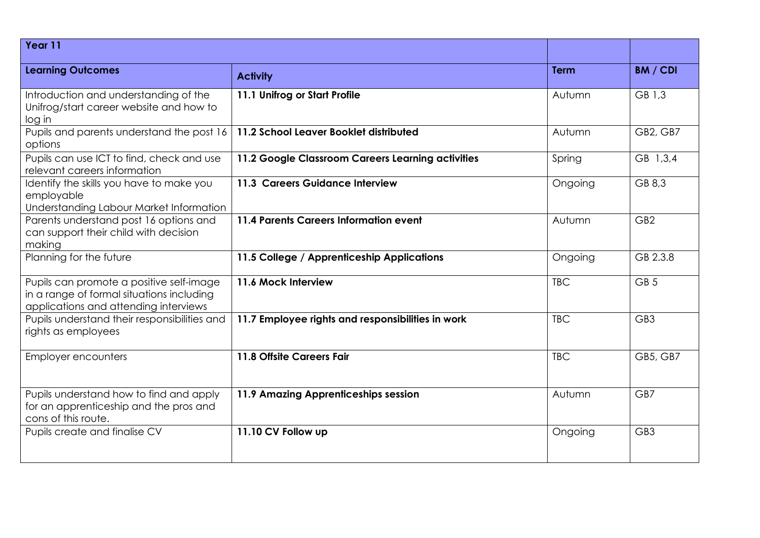| Year 11                                                                                                                        |                                                   |             |                 |
|--------------------------------------------------------------------------------------------------------------------------------|---------------------------------------------------|-------------|-----------------|
| <b>Learning Outcomes</b>                                                                                                       | <b>Activity</b>                                   | <b>Term</b> | BM / CDI        |
| Introduction and understanding of the<br>Unifrog/start career website and how to<br>log in                                     | 11.1 Unifrog or Start Profile                     | Autumn      | GB 1,3          |
| Pupils and parents understand the post 16<br>options                                                                           | 11.2 School Leaver Booklet distributed            | Autumn      | GB2, GB7        |
| Pupils can use ICT to find, check and use<br>relevant careers information                                                      | 11.2 Google Classroom Careers Learning activities | Spring      | GB 1,3,4        |
| Identify the skills you have to make you<br>employable<br>Understanding Labour Market Information                              | 11.3 Careers Guidance Interview                   | Ongoing     | GB 8,3          |
| Parents understand post 16 options and<br>can support their child with decision<br>making                                      | 11.4 Parents Careers Information event            | Autumn      | GB <sub>2</sub> |
| Planning for the future                                                                                                        | 11.5 College / Apprenticeship Applications        | Ongoing     | GB 2.3.8        |
| Pupils can promote a positive self-image<br>in a range of formal situations including<br>applications and attending interviews | 11.6 Mock Interview                               | <b>TBC</b>  | GB <sub>5</sub> |
| Pupils understand their responsibilities and<br>rights as employees                                                            | 11.7 Employee rights and responsibilities in work | <b>TBC</b>  | GB <sub>3</sub> |
| <b>Employer encounters</b>                                                                                                     | 11.8 Offsite Careers Fair                         | <b>TBC</b>  | GB5, GB7        |
| Pupils understand how to find and apply<br>for an apprenticeship and the pros and<br>cons of this route.                       | 11.9 Amazing Apprenticeships session              | Autumn      | GB7             |
| Pupils create and finalise CV                                                                                                  | 11.10 CV Follow up                                | Ongoing     | GB <sub>3</sub> |